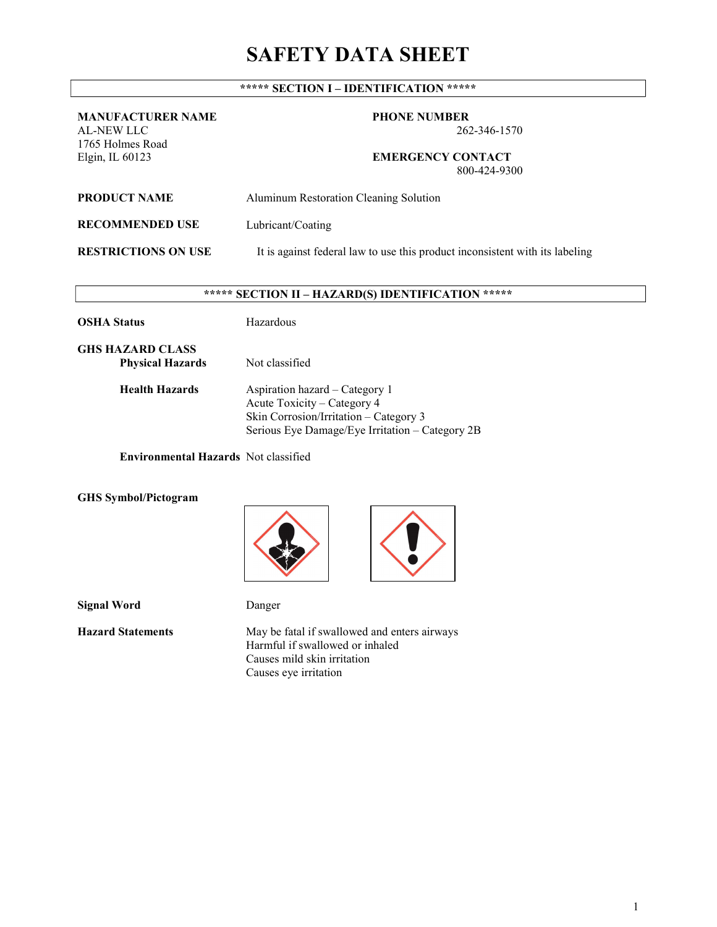# SAFETY DATA SHEET

## \*\*\*\*\* SECTION I – IDENTIFICATION \*\*\*\*\*

#### MANUFACTURER NAME AL-NEW LLC

1765 Holmes Road Elgin, IL 60123

PHONE NUMBER

262-346-1570

EMERGENCY CONTACT 800-424-9300

| <b>PRODUCT NAME</b>        | Aluminum Restoration Cleaning Solution                                       |
|----------------------------|------------------------------------------------------------------------------|
| <b>RECOMMENDED USE</b>     | Lubricant/Coating                                                            |
| <b>RESTRICTIONS ON USE</b> | It is against federal law to use this product inconsistent with its labeling |

## \*\*\*\*\* SECTION II – HAZARD(S) IDENTIFICATION \*\*\*\*\*

Hazardous

GHS HAZARD CLASS Physical Hazards Not classified

Health Hazards Aspiration hazard – Category 1 Acute Toxicity – Category 4 Skin Corrosion/Irritation – Category 3 Serious Eye Damage/Eye Irritation – Category 2B

Environmental Hazards Not classified

#### GHS Symbol/Pictogram





Signal Word Danger

Hazard Statements May be fatal if swallowed and enters airways Harmful if swallowed or inhaled Causes mild skin irritation Causes eye irritation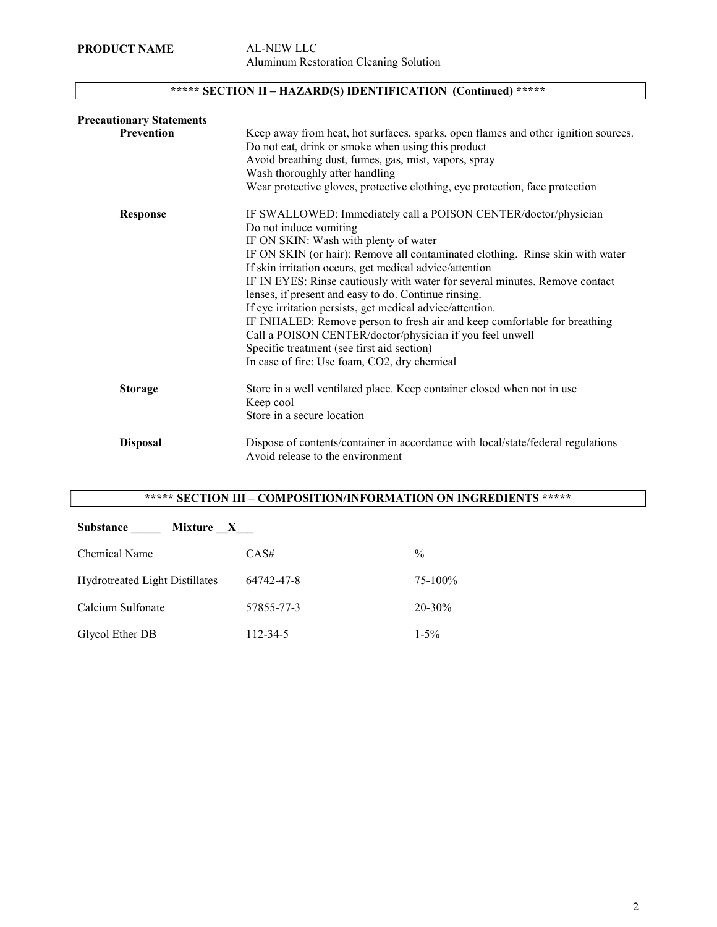## \*\*\*\*\* SECTION II – HAZARD(S) IDENTIFICATION (Continued) \*\*\*\*\*

| <b>Precautionary Statements</b> |                                                                                                                                                                                                   |
|---------------------------------|---------------------------------------------------------------------------------------------------------------------------------------------------------------------------------------------------|
| Prevention                      | Keep away from heat, hot surfaces, sparks, open flames and other ignition sources.<br>Do not eat, drink or smoke when using this product<br>Avoid breathing dust, fumes, gas, mist, vapors, spray |
|                                 | Wash thoroughly after handling                                                                                                                                                                    |
|                                 | Wear protective gloves, protective clothing, eye protection, face protection                                                                                                                      |
| Response                        | IF SWALLOWED: Immediately call a POISON CENTER/doctor/physician<br>Do not induce vomiting<br>IF ON SKIN: Wash with plenty of water                                                                |
|                                 | IF ON SKIN (or hair): Remove all contaminated clothing. Rinse skin with water                                                                                                                     |
|                                 | If skin irritation occurs, get medical advice/attention                                                                                                                                           |
|                                 | IF IN EYES: Rinse cautiously with water for several minutes. Remove contact                                                                                                                       |
|                                 | lenses, if present and easy to do. Continue rinsing.                                                                                                                                              |
|                                 | If eye irritation persists, get medical advice/attention.                                                                                                                                         |
|                                 | IF INHALED: Remove person to fresh air and keep comfortable for breathing                                                                                                                         |
|                                 | Call a POISON CENTER/doctor/physician if you feel unwell                                                                                                                                          |
|                                 | Specific treatment (see first aid section)                                                                                                                                                        |
|                                 | In case of fire: Use foam, CO2, dry chemical                                                                                                                                                      |
| <b>Storage</b>                  | Store in a well ventilated place. Keep container closed when not in use                                                                                                                           |
|                                 | Keep cool                                                                                                                                                                                         |
|                                 | Store in a secure location                                                                                                                                                                        |
| <b>Disposal</b>                 | Dispose of contents/container in accordance with local/state/federal regulations                                                                                                                  |
|                                 | Avoid release to the environment                                                                                                                                                                  |

## \*\*\*\*\* SECTION III – COMPOSITION/INFORMATION ON INGREDIENTS \*\*\*\*\*

| <b>Substance</b><br>Mixture X  |            |               |
|--------------------------------|------------|---------------|
| Chemical Name                  | CAS#       | $\frac{0}{0}$ |
| Hydrotreated Light Distillates | 64742-47-8 | 75-100%       |
| Calcium Sulfonate              | 57855-77-3 | $20 - 30\%$   |
| Glycol Ether DB                | 112-34-5   | $1 - 5\%$     |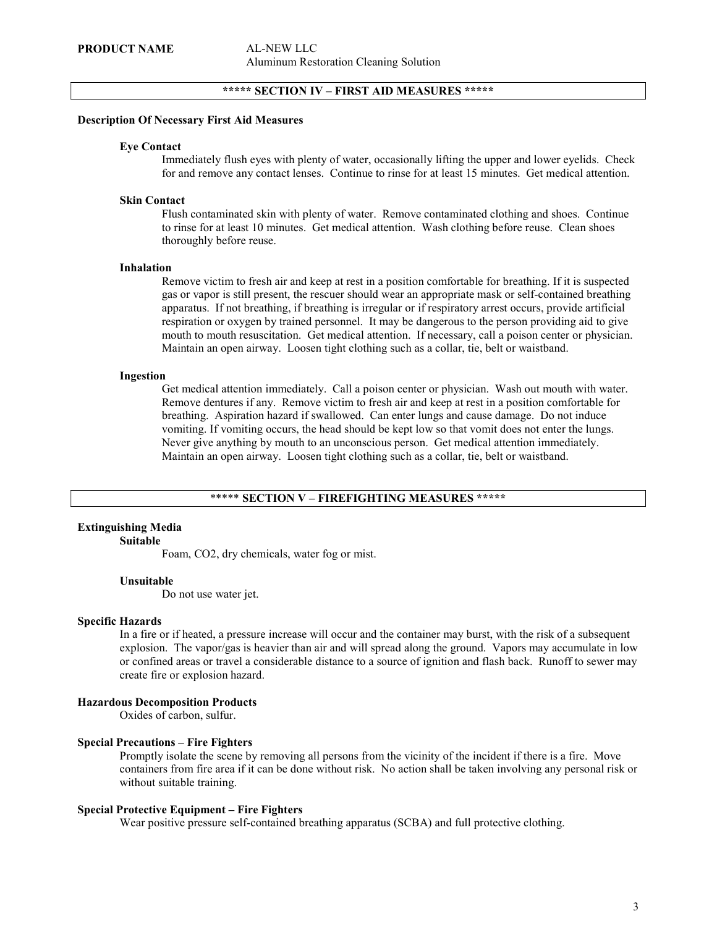## \*\*\*\*\* SECTION IV – FIRST AID MEASURES \*\*\*\*\*

#### Description Of Necessary First Aid Measures

#### Eye Contact

Immediately flush eyes with plenty of water, occasionally lifting the upper and lower eyelids. Check for and remove any contact lenses. Continue to rinse for at least 15 minutes. Get medical attention.

#### Skin Contact

Flush contaminated skin with plenty of water. Remove contaminated clothing and shoes. Continue to rinse for at least 10 minutes. Get medical attention. Wash clothing before reuse. Clean shoes thoroughly before reuse.

#### Inhalation

Remove victim to fresh air and keep at rest in a position comfortable for breathing. If it is suspected gas or vapor is still present, the rescuer should wear an appropriate mask or self-contained breathing apparatus. If not breathing, if breathing is irregular or if respiratory arrest occurs, provide artificial respiration or oxygen by trained personnel. It may be dangerous to the person providing aid to give mouth to mouth resuscitation. Get medical attention. If necessary, call a poison center or physician. Maintain an open airway. Loosen tight clothing such as a collar, tie, belt or waistband.

#### Ingestion

Get medical attention immediately. Call a poison center or physician. Wash out mouth with water. Remove dentures if any. Remove victim to fresh air and keep at rest in a position comfortable for breathing. Aspiration hazard if swallowed. Can enter lungs and cause damage. Do not induce vomiting. If vomiting occurs, the head should be kept low so that vomit does not enter the lungs. Never give anything by mouth to an unconscious person. Get medical attention immediately. Maintain an open airway. Loosen tight clothing such as a collar, tie, belt or waistband.

#### \*\*\*\*\* SECTION V – FIREFIGHTING MEASURES \*\*\*\*\*

## Extinguishing Media

#### Suitable

Foam, CO2, dry chemicals, water fog or mist.

#### Unsuitable

Do not use water jet.

#### Specific Hazards

In a fire or if heated, a pressure increase will occur and the container may burst, with the risk of a subsequent explosion. The vapor/gas is heavier than air and will spread along the ground. Vapors may accumulate in low or confined areas or travel a considerable distance to a source of ignition and flash back. Runoff to sewer may create fire or explosion hazard.

#### Hazardous Decomposition Products

Oxides of carbon, sulfur.

#### Special Precautions – Fire Fighters

Promptly isolate the scene by removing all persons from the vicinity of the incident if there is a fire. Move containers from fire area if it can be done without risk. No action shall be taken involving any personal risk or without suitable training.

#### Special Protective Equipment – Fire Fighters

Wear positive pressure self-contained breathing apparatus (SCBA) and full protective clothing.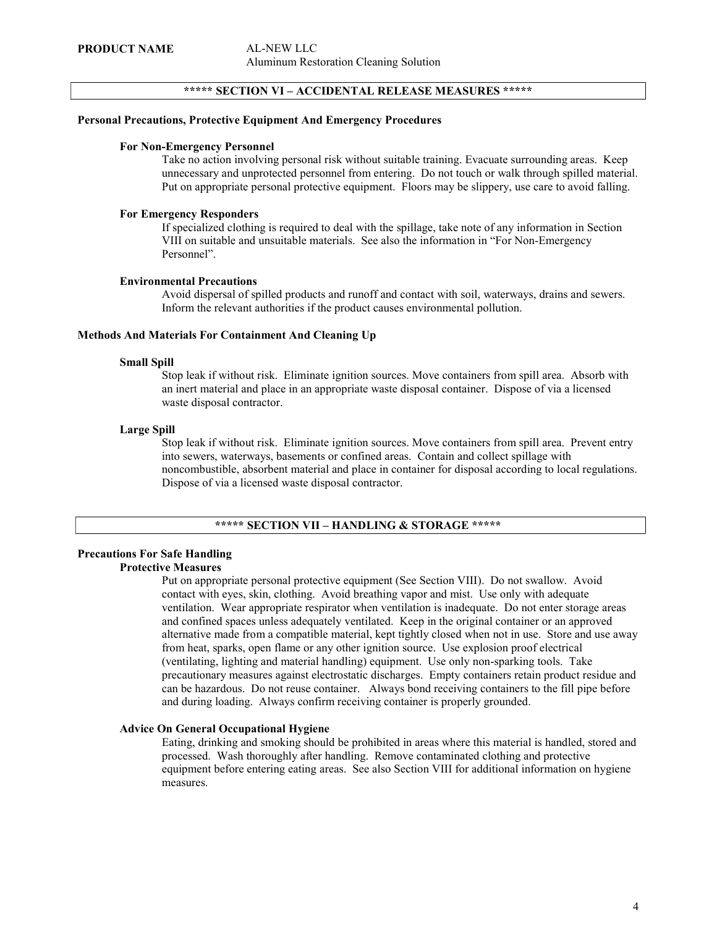#### \*\*\*\*\* SECTION VI – ACCIDENTAL RELEASE MEASURES \*\*\*\*\*

#### Personal Precautions, Protective Equipment And Emergency Procedures

#### For Non-Emergency Personnel

Take no action involving personal risk without suitable training. Evacuate surrounding areas. Keep unnecessary and unprotected personnel from entering. Do not touch or walk through spilled material. Put on appropriate personal protective equipment. Floors may be slippery, use care to avoid falling.

#### For Emergency Responders

If specialized clothing is required to deal with the spillage, take note of any information in Section VIII on suitable and unsuitable materials. See also the information in "For Non-Emergency Personnel".

#### Environmental Precautions

Avoid dispersal of spilled products and runoff and contact with soil, waterways, drains and sewers. Inform the relevant authorities if the product causes environmental pollution.

#### Methods And Materials For Containment And Cleaning Up

#### Small Spill

Stop leak if without risk. Eliminate ignition sources. Move containers from spill area. Absorb with an inert material and place in an appropriate waste disposal container. Dispose of via a licensed waste disposal contractor.

#### Large Spill

Stop leak if without risk. Eliminate ignition sources. Move containers from spill area. Prevent entry into sewers, waterways, basements or confined areas. Contain and collect spillage with noncombustible, absorbent material and place in container for disposal according to local regulations. Dispose of via a licensed waste disposal contractor.

#### \*\*\*\*\* SECTION VII – HANDLING & STORAGE \*\*\*\*\*

#### Precautions For Safe Handling Protective Measures

Put on appropriate personal protective equipment (See Section VIII). Do not swallow. Avoid contact with eyes, skin, clothing. Avoid breathing vapor and mist. Use only with adequate ventilation. Wear appropriate respirator when ventilation is inadequate. Do not enter storage areas and confined spaces unless adequately ventilated. Keep in the original container or an approved alternative made from a compatible material, kept tightly closed when not in use. Store and use away from heat, sparks, open flame or any other ignition source. Use explosion proof electrical (ventilating, lighting and material handling) equipment. Use only non-sparking tools. Take precautionary measures against electrostatic discharges. Empty containers retain product residue and can be hazardous. Do not reuse container. Always bond receiving containers to the fill pipe before and during loading. Always confirm receiving container is properly grounded.

## Advice On General Occupational Hygiene

Eating, drinking and smoking should be prohibited in areas where this material is handled, stored and processed. Wash thoroughly after handling. Remove contaminated clothing and protective equipment before entering eating areas. See also Section VIII for additional information on hygiene measures.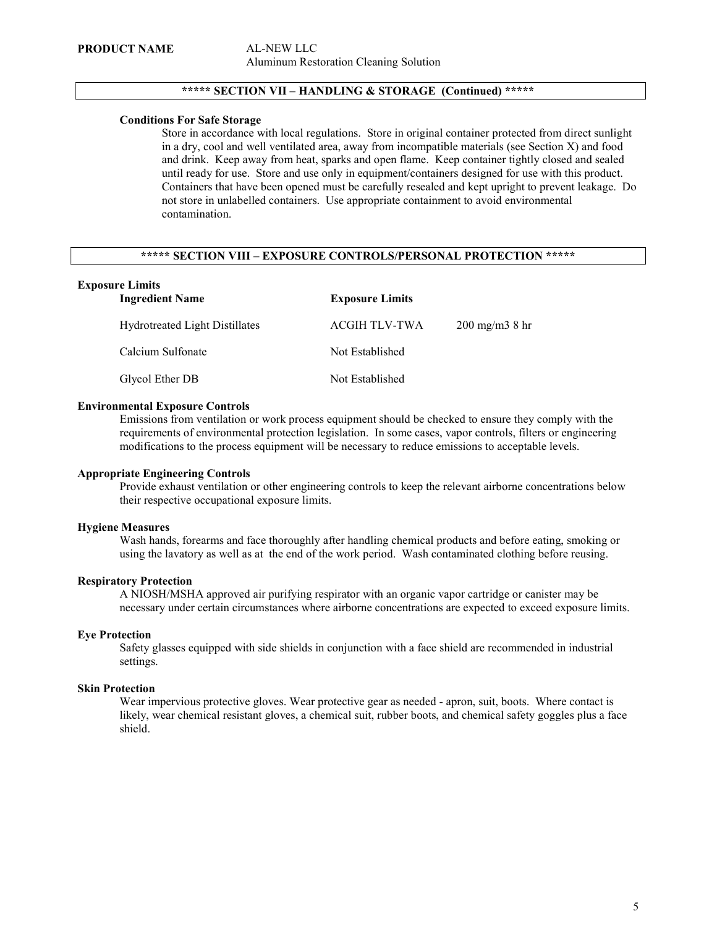## \*\*\*\*\* SECTION VII – HANDLING & STORAGE (Continued) \*\*\*\*\*

#### Conditions For Safe Storage

Store in accordance with local regulations. Store in original container protected from direct sunlight in a dry, cool and well ventilated area, away from incompatible materials (see Section X) and food and drink. Keep away from heat, sparks and open flame. Keep container tightly closed and sealed until ready for use. Store and use only in equipment/containers designed for use with this product. Containers that have been opened must be carefully resealed and kept upright to prevent leakage. Do not store in unlabelled containers. Use appropriate containment to avoid environmental contamination.

## \*\*\*\*\* SECTION VIII – EXPOSURE CONTROLS/PERSONAL PROTECTION \*\*\*\*\*

## Exposure Limits

| <b>Ingredient Name</b>         | <b>Exposure Limits</b> |                         |
|--------------------------------|------------------------|-------------------------|
| Hydrotreated Light Distillates | ACGIH TLV-TWA          | $200 \text{ mg/m}$ 8 hr |
| Calcium Sulfonate              | Not Established        |                         |
| Glycol Ether DB                | Not Established        |                         |

#### Environmental Exposure Controls

Emissions from ventilation or work process equipment should be checked to ensure they comply with the requirements of environmental protection legislation. In some cases, vapor controls, filters or engineering modifications to the process equipment will be necessary to reduce emissions to acceptable levels.

#### Appropriate Engineering Controls

Provide exhaust ventilation or other engineering controls to keep the relevant airborne concentrations below their respective occupational exposure limits.

#### Hygiene Measures

Wash hands, forearms and face thoroughly after handling chemical products and before eating, smoking or using the lavatory as well as at the end of the work period. Wash contaminated clothing before reusing.

#### Respiratory Protection

A NIOSH/MSHA approved air purifying respirator with an organic vapor cartridge or canister may be necessary under certain circumstances where airborne concentrations are expected to exceed exposure limits.

#### Eye Protection

Safety glasses equipped with side shields in conjunction with a face shield are recommended in industrial settings.

#### Skin Protection

Wear impervious protective gloves. Wear protective gear as needed - apron, suit, boots. Where contact is likely, wear chemical resistant gloves, a chemical suit, rubber boots, and chemical safety goggles plus a face shield.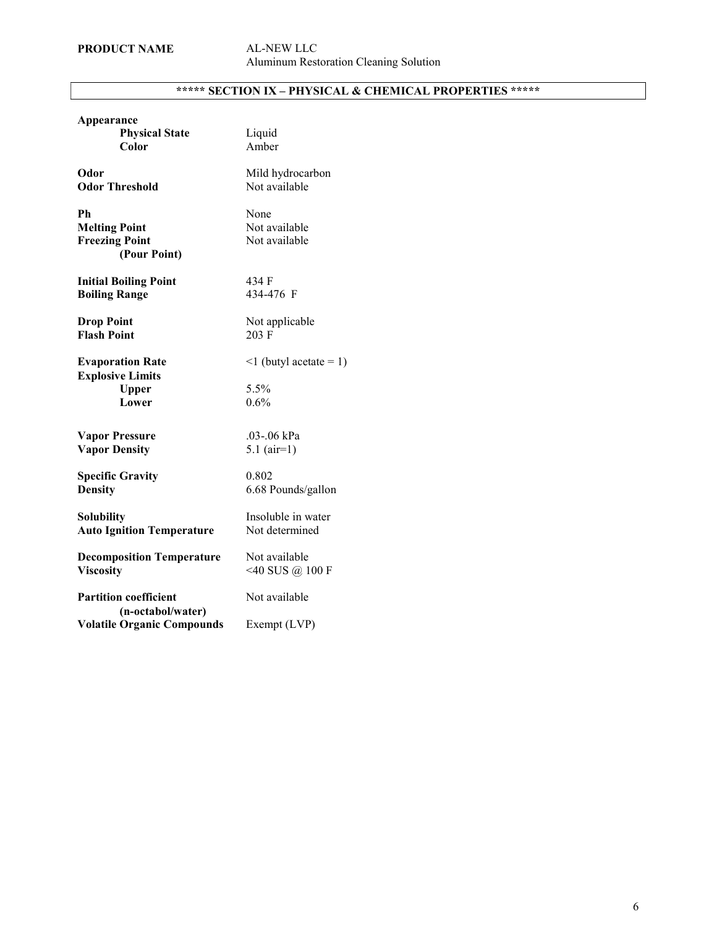# \*\*\*\*\* SECTION IX – PHYSICAL & CHEMICAL PROPERTIES \*\*\*\*\*

| Appearance<br><b>Physical State</b><br>Color                                | Liquid<br>Amber                              |
|-----------------------------------------------------------------------------|----------------------------------------------|
| Odor                                                                        | Mild hydrocarbon                             |
| <b>Odor Threshold</b>                                                       | Not available                                |
| Ph<br><b>Melting Point</b><br><b>Freezing Point</b><br>(Pour Point)         | None<br>Not available<br>Not available       |
| <b>Initial Boiling Point</b>                                                | 434 F                                        |
| <b>Boiling Range</b>                                                        | 434-476 F                                    |
| <b>Drop Point</b>                                                           | Not applicable                               |
| <b>Flash Point</b>                                                          | 203 F                                        |
| <b>Evaporation Rate</b><br><b>Explosive Limits</b><br><b>Upper</b><br>Lower | $\leq 1$ (butyl acetate = 1)<br>5.5%<br>0.6% |
| <b>Vapor Pressure</b>                                                       | .03-.06 kPa                                  |
| <b>Vapor Density</b>                                                        | $5.1$ (air=1)                                |
| <b>Specific Gravity</b>                                                     | 0.802                                        |
| <b>Density</b>                                                              | 6.68 Pounds/gallon                           |
| <b>Solubility</b>                                                           | Insoluble in water                           |
| <b>Auto Ignition Temperature</b>                                            | Not determined                               |
| <b>Decomposition Temperature</b>                                            | Not available                                |
| <b>Viscosity</b>                                                            | $<$ 40 SUS @ 100 F                           |
| <b>Partition coefficient</b><br>(n-octabol/water)                           | Not available                                |
| <b>Volatile Organic Compounds</b>                                           | Exempt (LVP)                                 |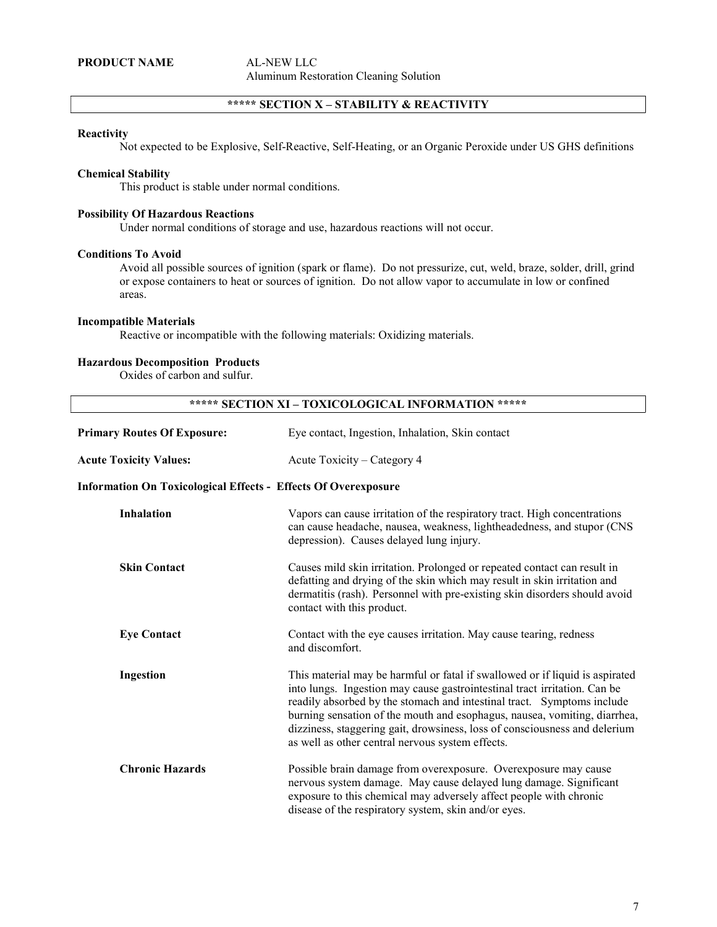## \*\*\*\*\* SECTION X – STABILITY & REACTIVITY

#### **Reactivity**

Not expected to be Explosive, Self-Reactive, Self-Heating, or an Organic Peroxide under US GHS definitions

#### Chemical Stability

This product is stable under normal conditions.

#### Possibility Of Hazardous Reactions

Under normal conditions of storage and use, hazardous reactions will not occur.

#### Conditions To Avoid

Avoid all possible sources of ignition (spark or flame). Do not pressurize, cut, weld, braze, solder, drill, grind or expose containers to heat or sources of ignition. Do not allow vapor to accumulate in low or confined areas.

#### Incompatible Materials

Reactive or incompatible with the following materials: Oxidizing materials.

#### Hazardous Decomposition Products

Oxides of carbon and sulfur.

| ***** SECTION XI - TOXICOLOGICAL INFORMATION *****                    |                                                                                                                                                                                                                                                                                                                                                                                                                                                    |
|-----------------------------------------------------------------------|----------------------------------------------------------------------------------------------------------------------------------------------------------------------------------------------------------------------------------------------------------------------------------------------------------------------------------------------------------------------------------------------------------------------------------------------------|
| <b>Primary Routes Of Exposure:</b>                                    | Eye contact, Ingestion, Inhalation, Skin contact                                                                                                                                                                                                                                                                                                                                                                                                   |
| <b>Acute Toxicity Values:</b>                                         | Acute Toxicity – Category 4                                                                                                                                                                                                                                                                                                                                                                                                                        |
| <b>Information On Toxicological Effects - Effects Of Overexposure</b> |                                                                                                                                                                                                                                                                                                                                                                                                                                                    |
| <b>Inhalation</b>                                                     | Vapors can cause irritation of the respiratory tract. High concentrations<br>can cause headache, nausea, weakness, lightheadedness, and stupor (CNS<br>depression). Causes delayed lung injury.                                                                                                                                                                                                                                                    |
| <b>Skin Contact</b>                                                   | Causes mild skin irritation. Prolonged or repeated contact can result in<br>defatting and drying of the skin which may result in skin irritation and<br>dermatitis (rash). Personnel with pre-existing skin disorders should avoid<br>contact with this product.                                                                                                                                                                                   |
| <b>Eye Contact</b>                                                    | Contact with the eye causes irritation. May cause tearing, redness<br>and discomfort.                                                                                                                                                                                                                                                                                                                                                              |
| Ingestion                                                             | This material may be harmful or fatal if swallowed or if liquid is aspirated<br>into lungs. Ingestion may cause gastrointestinal tract irritation. Can be<br>readily absorbed by the stomach and intestinal tract. Symptoms include<br>burning sensation of the mouth and esophagus, nausea, vomiting, diarrhea,<br>dizziness, staggering gait, drowsiness, loss of consciousness and delerium<br>as well as other central nervous system effects. |
| <b>Chronic Hazards</b>                                                | Possible brain damage from overexposure. Overexposure may cause<br>nervous system damage. May cause delayed lung damage. Significant<br>exposure to this chemical may adversely affect people with chronic<br>disease of the respiratory system, skin and/or eyes.                                                                                                                                                                                 |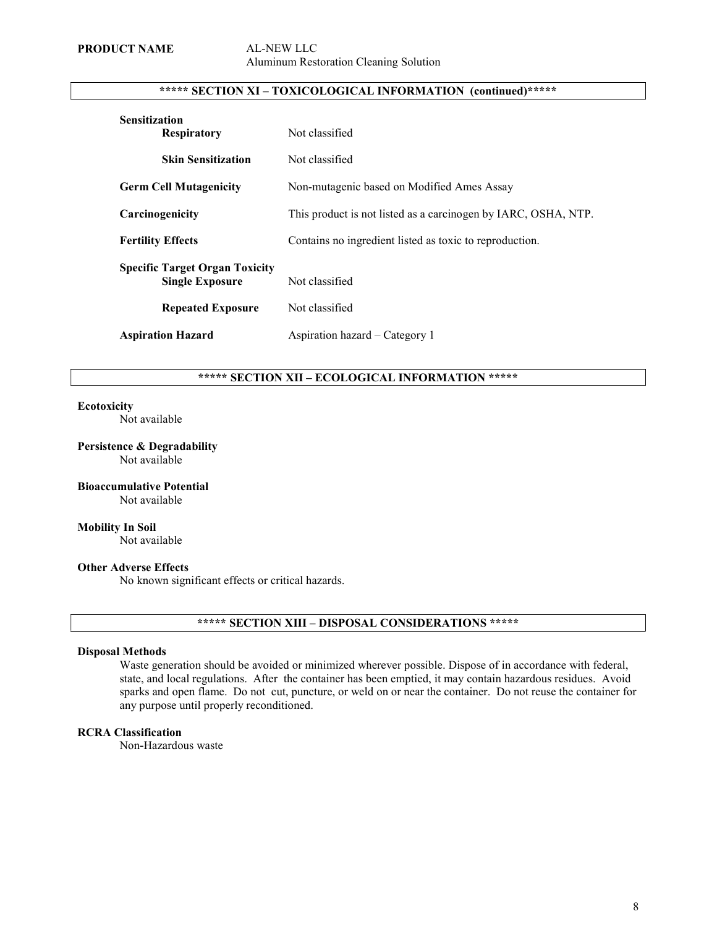# Aluminum Restoration Cleaning Solution

## \*\*\*\*\* SECTION XI – TOXICOLOGICAL INFORMATION (continued)\*\*\*\*\*

| <b>Sensitization</b><br><b>Respiratory</b>                      | Not classified                                                 |
|-----------------------------------------------------------------|----------------------------------------------------------------|
| <b>Skin Sensitization</b>                                       | Not classified                                                 |
| <b>Germ Cell Mutagenicity</b>                                   | Non-mutagenic based on Modified Ames Assay                     |
| Carcinogenicity                                                 | This product is not listed as a carcinogen by IARC, OSHA, NTP. |
| <b>Fertility Effects</b>                                        | Contains no ingredient listed as toxic to reproduction.        |
| <b>Specific Target Organ Toxicity</b><br><b>Single Exposure</b> | Not classified                                                 |
| <b>Repeated Exposure</b>                                        | Not classified                                                 |
| <b>Aspiration Hazard</b>                                        | Aspiration hazard – Category 1                                 |

## \*\*\*\*\* SECTION XII – ECOLOGICAL INFORMATION \*\*\*\*\*

#### **Ecotoxicity**

Not available

#### Persistence & Degradability Not available

#### Bioaccumulative Potential Not available

# Mobility In Soil

Not available

#### Other Adverse Effects

No known significant effects or critical hazards.

#### \*\*\*\*\* SECTION XIII – DISPOSAL CONSIDERATIONS \*\*\*\*\*

#### Disposal Methods

Waste generation should be avoided or minimized wherever possible. Dispose of in accordance with federal, state, and local regulations. After the container has been emptied, it may contain hazardous residues. Avoid sparks and open flame. Do not cut, puncture, or weld on or near the container. Do not reuse the container for any purpose until properly reconditioned.

## RCRA Classification

Non-Hazardous waste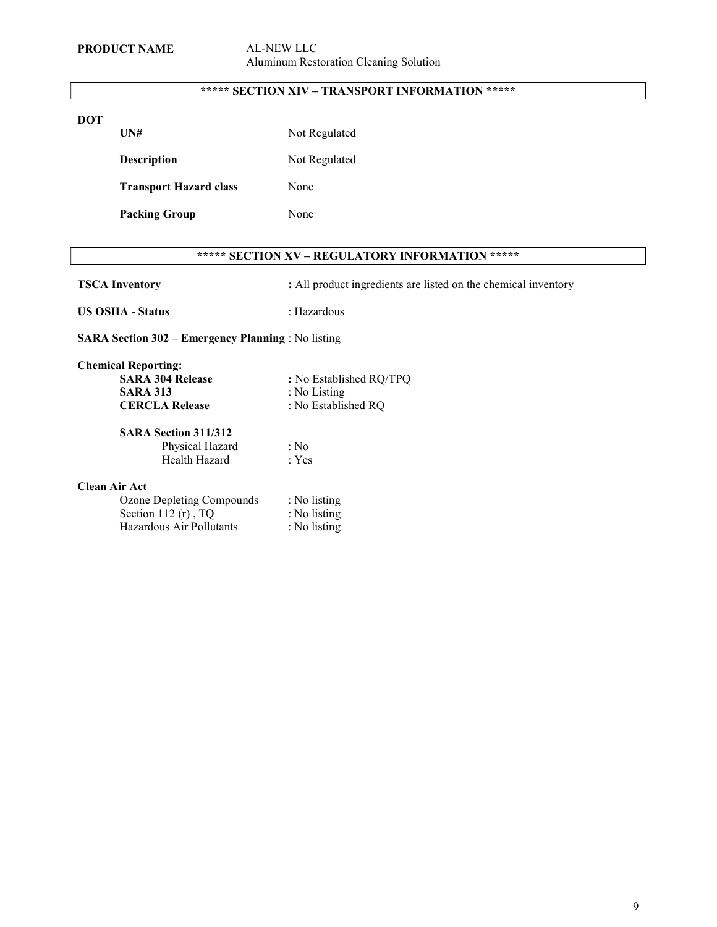## \*\*\*\*\* SECTION XIV – TRANSPORT INFORMATION \*\*\*\*\*

## DOT

UN# Not Regulated

Description Not Regulated

Transport Hazard class None

Packing Group None

## \*\*\*\*\* SECTION XV – REGULATORY INFORMATION \*\*\*\*\*

TSCA Inventory : All product ingredients are listed on the chemical inventory

US OSHA - Status : Hazardous

SARA Section 302 – Emergency Planning : No listing

| <b>Chemical Reporting:</b>  |                         |
|-----------------------------|-------------------------|
| <b>SARA 304 Release</b>     | : No Established RQ/TPQ |
| <b>SARA 313</b>             | : No Listing            |
| <b>CERCLA Release</b>       | : No Established RO     |
| <b>SARA Section 311/312</b> |                         |
| Physical Hazard             | : No                    |
| Health Hazard               | : Yes                   |
| <b>Clean Air Act</b>        |                         |
| Ozone Depleting Compounds   | : No listing            |
| Section 112 (r), TQ         | : No listing            |
| Hazardous Air Pollutants    | : No listing            |